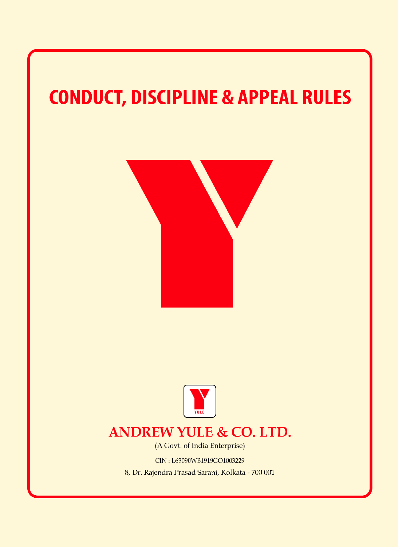# **CONDUCT, DISCIPLINE & APPEAL RULES**





# **ANDREW YULE & CO. LTD.**

(A Govt. of India Enterprise)

CIN: L63090WB1919GO1003229

8, Dr. Rajendra Prasad Sarani, Kolkata - 700 001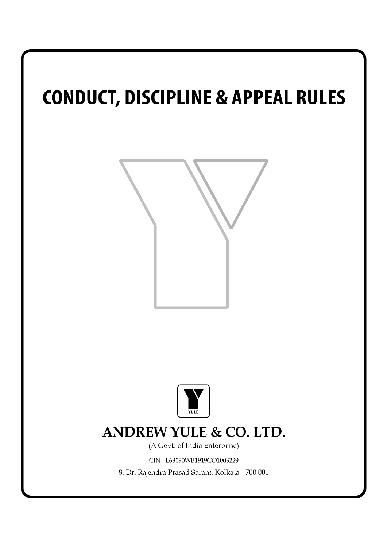# **CONDUCT, DISCIPLINE & APPEAL RULES**





# **ANDREW YULE & CO. LTD.**

(A Govt. of India Enterprise)

CIN: L63090WB1919GO1003229

8, Dr. Rajendra Prasad Sarani, Kolkata - 700 001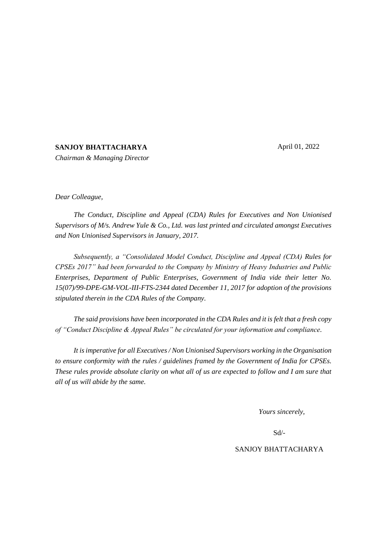April 01, 2022

#### **SANJOY BHATTACHARYA**

*Chairman & Managing Director*

*Dear Colleague,*

*The Conduct, Discipline and Appeal (CDA) Rules for Executives and Non Unionised Supervisors of M/s. Andrew Yule & Co., Ltd. was last printed and circulated amongst Executives and Non Unionised Supervisors in January, 2017.*

*Subsequently, a "Consolidated Model Conduct, Discipline and Appeal (CDA) Rules for CPSEs 2017" had been forwarded to the Company by Ministry of Heavy Industries and Public Enterprises, Department of Public Enterprises, Government of India vide their letter No. 15(07)/99-DPE-GM-VOL-III-FTS-2344 dated December 11, 2017 for adoption of the provisions stipulated therein in the CDA Rules of the Company.*

*The said provisions have been incorporated in the CDA Rules and it is felt that a fresh copy of "Conduct Discipline & Appeal Rules" be circulated for your information and compliance.*

*It is imperative for all Executives / Non Unionised Supervisors working in the Organisation to ensure conformity with the rules / guidelines framed by the Government of India for CPSEs. These rules provide absolute clarity on what all of us are expected to follow and I am sure that all of us will abide by the same.*

*Yours sincerely,*

Sd/-

#### SANJOY BHATTACHARYA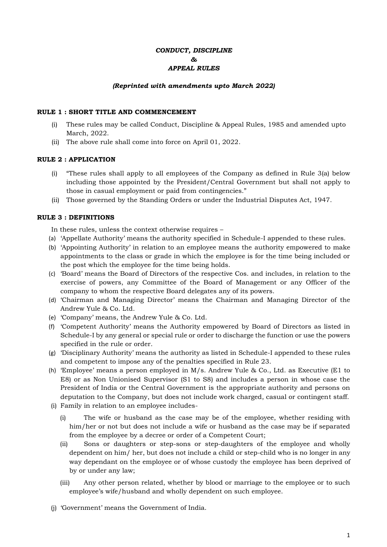# *CONDUCT, DISCIPLINE & APPEAL RULES*

#### *(Reprinted with amendments upto March 2022)*

#### **RULE 1 : SHORT TITLE AND COMMENCEMENT**

- (i) These rules may be called Conduct, Discipline & Appeal Rules, 1985 and amended upto March, 2022.
- (ii) The above rule shall come into force on April 01, 2022.

#### **RULE 2 : APPLICATION**

- (i) "These rules shall apply to all employees of the Company as defined in Rule 3(a) below including those appointed by the President/Central Government but shall not apply to those in casual employment or paid from contingencies."
- (ii) Those governed by the Standing Orders or under the Industrial Disputes Act, 1947.

#### **RULE 3 : DEFINITIONS**

In these rules, unless the context otherwise requires –

- (a) 'Appellate Authority' means the authority specified in Schedule-I appended to these rules.
- (b) 'Appointing Authority' in relation to an employee means the authority empowered to make appointments to the class or grade in which the employee is for the time being included or the post which the employee for the time being holds.
- (c) 'Board' means the Board of Directors of the respective Cos. and includes, in relation to the exercise of powers, any Committee of the Board of Management or any Officer of the company to whom the respective Board delegates any of its powers.
- (d) 'Chairman and Managing Director' means the Chairman and Managing Director of the Andrew Yule & Co. Ltd.
- (e) 'Company' means, the Andrew Yule & Co. Ltd.
- (f) 'Competent Authority' means the Authority empowered by Board of Directors as listed in Schedule-I by any general or special rule or order to discharge the function or use the powers specified in the rule or order.
- (g) 'Disciplinary Authority' means the authority as listed in Schedule-I appended to these rules and competent to impose any of the penalties specified in Rule 23.
- (h) 'Employee' means a person employed in M/s. Andrew Yule & Co., Ltd. as Executive (E1 to E8) or as Non Unionised Supervisor (S1 to S8) and includes a person in whose case the President of India or the Central Government is the appropriate authority and persons on deputation to the Company, but does not include work charged, casual or contingent staff.
- (i) Family in relation to an employee includes-
	- (i) The wife or husband as the case may be of the employee, whether residing with him/her or not but does not include a wife or husband as the case may be if separated from the employee by a decree or order of a Competent Court;
	- (ii) Sons or daughters or step-sons or step-daughters of the employee and wholly dependent on him/ her, but does not include a child or step-child who is no longer in any way dependant on the employee or of whose custody the employee has been deprived of by or under any law;
	- (iii) Any other person related, whether by blood or marriage to the employee or to such employee's wife/husband and wholly dependent on such employee.
- (j) 'Government' means the Government of India.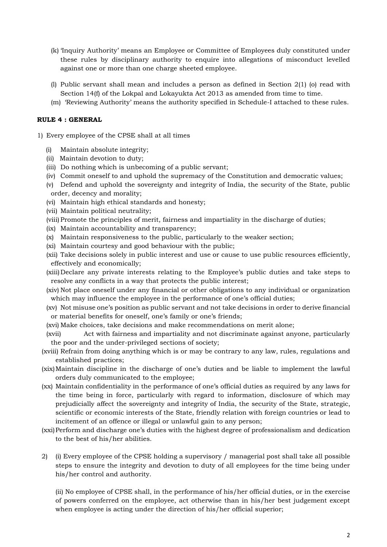- (k) 'Inquiry Authority' means an Employee or Committee of Employees duly constituted under these rules by disciplinary authority to enquire into allegations of misconduct levelled against one or more than one charge sheeted employee.
- (l) Public servant shall mean and includes a person as defined in Section 2(1) (o) read with Section 14(f) of the Lokpal and Lokayukta Act 2013 as amended from time to time.
- (m) 'Reviewing Authority' means the authority specified in Schedule-I attached to these rules.

#### **RULE 4 : GENERAL**

- 1) Every employee of the CPSE shall at all times
	- (i) Maintain absolute integrity;
	- (ii) Maintain devotion to duty;
	- (iii) Do nothing which is unbecoming of a public servant;
	- (iv) Commit oneself to and uphold the supremacy of the Constitution and democratic values;
	- (v) Defend and uphold the sovereignty and integrity of India, the security of the State, public order, decency and morality;
	- (vi) Maintain high ethical standards and honesty;
	- (vii) Maintain political neutrality;
	- (viii) Promote the principles of merit, fairness and impartiality in the discharge of duties;
	- (ix) Maintain accountability and transparency;
	- (x) Maintain responsiveness to the public, particularly to the weaker section;
	- (xi) Maintain courtesy and good behaviour with the public;
	- (xii) Take decisions solely in public interest and use or cause to use public resources efficiently, effectively and economically;
	- (xiii)Declare any private interests relating to the Employee's public duties and take steps to resolve any conflicts in a way that protects the public interest;
	- (xiv) Not place oneself under any financial or other obligations to any individual or organization which may influence the employee in the performance of one's official duties;
	- (xv) Not misuse one's position as public servant and not take decisions in order to derive financial or material benefits for oneself, one's family or one's friends;
	- (xvi) Make choices, take decisions and make recommendations on merit alone;
	- (xvii) Act with fairness and impartiality and not discriminate against anyone, particularly the poor and the under-privileged sections of society;
	- (xviii) Refrain from doing anything which is or may be contrary to any law, rules, regulations and established practices;
	- (xix)Maintain discipline in the discharge of one's duties and be liable to implement the lawful orders duly communicated to the employee;
	- (xx) Maintain confidentiality in the performance of one's official duties as required by any laws for the time being in force, particularly with regard to information, disclosure of which may prejudicially affect the sovereignty and integrity of India, the security of the State, strategic, scientific or economic interests of the State, friendly relation with foreign countries or lead to incitement of an offence or illegal or unlawful gain to any person;
	- (xxi)Perform and discharge one's duties with the highest degree of professionalism and dedication to the best of his/her abilities.
	- 2) (i) Every employee of the CPSE holding a supervisory / managerial post shall take all possible steps to ensure the integrity and devotion to duty of all employees for the time being under his/her control and authority.

(ii) No employee of CPSE shall, in the performance of his/her official duties, or in the exercise of powers conferred on the employee, act otherwise than in his/her best judgement except when employee is acting under the direction of his/her official superior;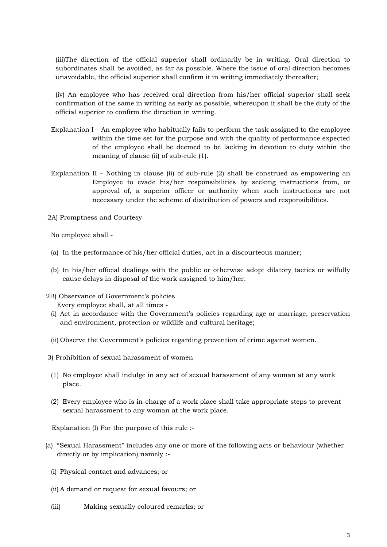(iii)The direction of the official superior shall ordinarily be in writing. Oral direction to subordinates shall be avoided, as far as possible. Where the issue of oral direction becomes unavoidable, the official superior shall confirm it in writing immediately thereafter;

(iv) An employee who has received oral direction from his/her official superior shall seek confirmation of the same in writing as early as possible, whereupon it shall be the duty of the official superior to confirm the direction in writing.

- Explanation I An employee who habitually fails to perform the task assigned to the employee within the time set for the purpose and with the quality of performance expected of the employee shall be deemed to be lacking in devotion to duty within the meaning of clause (ii) of sub-rule (1).
- Explanation II Nothing in clause (ii) of sub-rule (2) shall be construed as empowering an Employee to evade his/her responsibilities by seeking instructions from, or approval of, a superior officer or authority when such instructions are not necessary under the scheme of distribution of powers and responsibilities.

2A) Promptness and Courtesy

No employee shall -

- (a) In the performance of his/her official duties, act in a discourteous manner;
- (b) In his/her official dealings with the public or otherwise adopt dilatory tactics or wilfully cause delays in disposal of the work assigned to him/her.
- 2B) Observance of Government's policies
	- Every employee shall, at all times -
	- (i) Act in accordance with the Government's policies regarding age or marriage, preservation and environment, protection or wildlife and cultural heritage;
	- (ii) Observe the Government's policies regarding prevention of crime against women.
- 3) Prohibition of sexual harassment of women
- (1) No employee shall indulge in any act of sexual harassment of any woman at any work place.
- (2) Every employee who is in-charge of a work place shall take appropriate steps to prevent sexual harassment to any woman at the work place.

Explanation (I) For the purpose of this rule :-

- (a) "Sexual Harassment" includes any one or more of the following acts or behaviour (whether directly or by implication) namely :-
	- (i) Physical contact and advances; or
	- (ii) A demand or request for sexual favours; or
	- (iii) Making sexually coloured remarks; or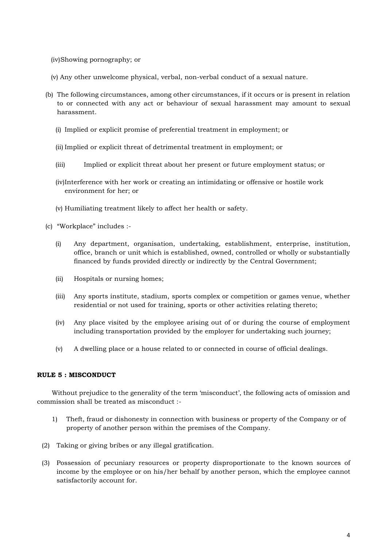- (iv)Showing pornography; or
- (v) Any other unwelcome physical, verbal, non-verbal conduct of a sexual nature.
- (b) The following circumstances, among other circumstances, if it occurs or is present in relation to or connected with any act or behaviour of sexual harassment may amount to sexual harassment.
	- (i) Implied or explicit promise of preferential treatment in employment; or
	- (ii) Implied or explicit threat of detrimental treatment in employment; or
	- (iii) Implied or explicit threat about her present or future employment status; or
	- (iv)Interference with her work or creating an intimidating or offensive or hostile work environment for her; or
	- (v) Humiliating treatment likely to affect her health or safety.
- (c) "Workplace" includes :-
	- (i) Any department, organisation, undertaking, establishment, enterprise, institution, office, branch or unit which is established, owned, controlled or wholly or substantially financed by funds provided directly or indirectly by the Central Government;
	- (ii) Hospitals or nursing homes;
	- (iii) Any sports institute, stadium, sports complex or competition or games venue, whether residential or not used for training, sports or other activities relating thereto;
	- (iv) Any place visited by the employee arising out of or during the course of employment including transportation provided by the employer for undertaking such journey;
	- (v) A dwelling place or a house related to or connected in course of official dealings.

#### **RULE 5 : MISCONDUCT**

Without prejudice to the generality of the term 'misconduct', the following acts of omission and commission shall be treated as misconduct :-

- 1) Theft, fraud or dishonesty in connection with business or property of the Company or of property of another person within the premises of the Company.
- (2) Taking or giving bribes or any illegal gratification.
- (3) Possession of pecuniary resources or property disproportionate to the known sources of income by the employee or on his/her behalf by another person, which the employee cannot satisfactorily account for.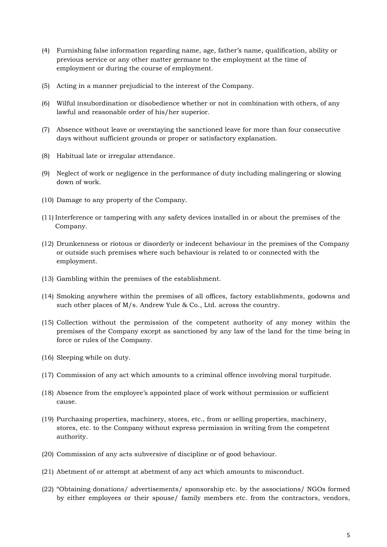- (4) Furnishing false information regarding name, age, father's name, qualification, ability or previous service or any other matter germane to the employment at the time of employment or during the course of employment.
- (5) Acting in a manner prejudicial to the interest of the Company.
- (6) Wilful insubordination or disobedience whether or not in combination with others, of any lawful and reasonable order of his/her superior.
- (7) Absence without leave or overstaying the sanctioned leave for more than four consecutive days without sufficient grounds or proper or satisfactory explanation.
- (8) Habitual late or irregular attendance.
- (9) Neglect of work or negligence in the performance of duty including malingering or slowing down of work.
- (10) Damage to any property of the Company.
- (11) Interference or tampering with any safety devices installed in or about the premises of the Company.
- (12) Drunkenness or riotous or disorderly or indecent behaviour in the premises of the Company or outside such premises where such behaviour is related to or connected with the employment.
- (13) Gambling within the premises of the establishment.
- (14) Smoking anywhere within the premises of all offices, factory establishments, godowns and such other places of M/s. Andrew Yule & Co., Ltd. across the country.
- (15) Collection without the permission of the competent authority of any money within the premises of the Company except as sanctioned by any law of the land for the time being in force or rules of the Company.
- (16) Sleeping while on duty.
- (17) Commission of any act which amounts to a criminal offence involving moral turpitude.
- (18) Absence from the employee's appointed place of work without permission or sufficient cause.
- (19) Purchasing properties, machinery, stores, etc., from or selling properties, machinery, stores, etc. to the Company without express permission in writing from the competent authority.
- (20) Commission of any acts subversive of discipline or of good behaviour.
- (21) Abetment of or attempt at abetment of any act which amounts to misconduct.
- (22) "Obtaining donations/ advertisements/ sponsorship etc. by the associations/ NGOs formed by either employees or their spouse/ family members etc. from the contractors, vendors,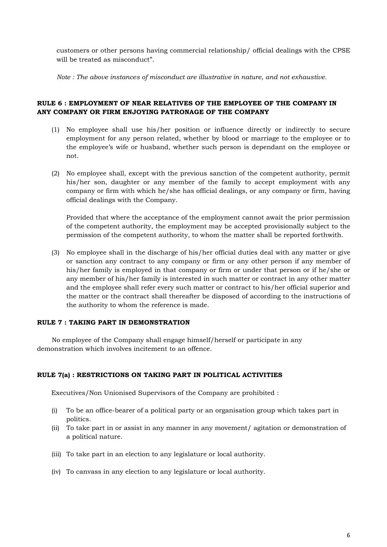customers or other persons having commercial relationship/ official dealings with the CPSE will be treated as misconduct".

*Note : The above instances of misconduct are illustrative in nature, and not exhaustive.*

# **RULE 6 : EMPLOYMENT OF NEAR RELATIVES OF THE EMPLOYEE OF THE COMPANY IN ANY COMPANY OR FIRM ENJOYING PATRONAGE OF THE COMPANY**

- (1) No employee shall use his/her position or influence directly or indirectly to secure employment for any person related, whether by blood or marriage to the employee or to the employee's wife or husband, whether such person is dependant on the employee or not.
- (2) No employee shall, except with the previous sanction of the competent authority, permit his/her son, daughter or any member of the family to accept employment with any company or firm with which he/she has official dealings, or any company or firm, having official dealings with the Company.

Provided that where the acceptance of the employment cannot await the prior permission of the competent authority, the employment may be accepted provisionally subject to the permission of the competent authority, to whom the matter shall be reported forthwith.

(3) No employee shall in the discharge of his/her official duties deal with any matter or give or sanction any contract to any company or firm or any other person if any member of his/her family is employed in that company or firm or under that person or if he/she or any member of his/her family is interested in such matter or contract in any other matter and the employee shall refer every such matter or contract to his/her official superior and the matter or the contract shall thereafter be disposed of according to the instructions of the authority to whom the reference is made.

#### **RULE 7 : TAKING PART IN DEMONSTRATION**

No employee of the Company shall engage himself/herself or participate in any demonstration which involves incitement to an offence.

#### **RULE 7(a) : RESTRICTIONS ON TAKING PART IN POLITICAL ACTIVITIES**

Executives/Non Unionised Supervisors of the Company are prohibited :

- (i) To be an office-bearer of a political party or an organisation group which takes part in politics.
- (ii) To take part in or assist in any manner in any movement/ agitation or demonstration of a political nature.
- (iii) To take part in an election to any legislature or local authority.
- (iv) To canvass in any election to any legislature or local authority.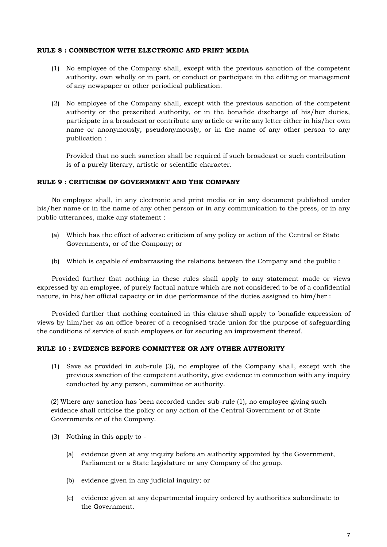#### **RULE 8 : CONNECTION WITH ELECTRONIC AND PRINT MEDIA**

- (1) No employee of the Company shall, except with the previous sanction of the competent authority, own wholly or in part, or conduct or participate in the editing or management of any newspaper or other periodical publication.
- (2) No employee of the Company shall, except with the previous sanction of the competent authority or the prescribed authority, or in the bonafide discharge of his/her duties, participate in a broadcast or contribute any article or write any letter either in his/her own name or anonymously, pseudonymously, or in the name of any other person to any publication :

Provided that no such sanction shall be required if such broadcast or such contribution is of a purely literary, artistic or scientific character.

#### **RULE 9 : CRITICISM OF GOVERNMENT AND THE COMPANY**

No employee shall, in any electronic and print media or in any document published under his/her name or in the name of any other person or in any communication to the press, or in any public utterances, make any statement : -

- (a) Which has the effect of adverse criticism of any policy or action of the Central or State Governments, or of the Company; or
- (b) Which is capable of embarrassing the relations between the Company and the public :

Provided further that nothing in these rules shall apply to any statement made or views expressed by an employee, of purely factual nature which are not considered to be of a confidential nature, in his/her official capacity or in due performance of the duties assigned to him/her :

Provided further that nothing contained in this clause shall apply to bonafide expression of views by him/her as an office bearer of a recognised trade union for the purpose of safeguarding the conditions of service of such employees or for securing an improvement thereof.

#### **RULE 10 : EVIDENCE BEFORE COMMITTEE OR ANY OTHER AUTHORITY**

(1) Save as provided in sub-rule (3), no employee of the Company shall, except with the previous sanction of the competent authority, give evidence in connection with any inquiry conducted by any person, committee or authority.

(2) Where any sanction has been accorded under sub-rule (1), no employee giving such evidence shall criticise the policy or any action of the Central Government or of State Governments or of the Company.

- (3) Nothing in this apply to
	- (a) evidence given at any inquiry before an authority appointed by the Government, Parliament or a State Legislature or any Company of the group.
	- (b) evidence given in any judicial inquiry; or
	- (c) evidence given at any departmental inquiry ordered by authorities subordinate to the Government.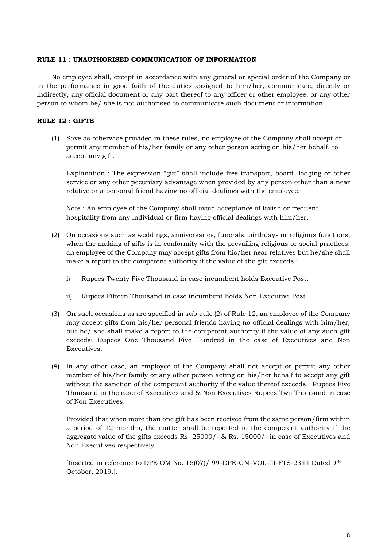#### **RULE 11 : UNAUTHORISED COMMUNICATION OF INFORMATION**

No employee shall, except in accordance with any general or special order of the Company or in the performance in good faith of the duties assigned to him/her, communicate, directly or indirectly, any official document or any part thereof to any officer or other employee, or any other person to whom he/ she is not authorised to communicate such document or information.

#### **RULE 12 : GIFTS**

(1) Save as otherwise provided in these rules, no employee of the Company shall accept or permit any member of his/her family or any other person acting on his/her behalf, to accept any gift.

Explanation : The expression "gift" shall include free transport, board, lodging or other service or any other pecuniary advantage when provided by any person other than a near relative or a personal friend having no official dealings with the employee.

Note : An employee of the Company shall avoid acceptance of lavish or frequent hospitality from any individual or firm having official dealings with him/her.

- (2) On occasions such as weddings, anniversaries, funerals, birthdays or religious functions, when the making of gifts is in conformity with the prevailing religious or social practices, an employee of the Company may accept gifts from his/her near relatives but he/she shall make a report to the competent authority if the value of the gift exceeds :
	- i) Rupees Twenty Five Thousand in case incumbent holds Executive Post.
	- ii) Rupees Fifteen Thousand in case incumbent holds Non Executive Post.
- (3) On such occasions as are specified in sub-rule (2) of Rule 12, an employee of the Company may accept gifts from his/her personal friends having no official dealings with him/her, but he/ she shall make a report to the competent authority if the value of any such gift exceeds: Rupees One Thousand Five Hundred in the case of Executives and Non Executives.
- (4) In any other case, an employee of the Company shall not accept or permit any other member of his/her family or any other person acting on his/her behalf to accept any gift without the sanction of the competent authority if the value thereof exceeds : Rupees Five Thousand in the case of Executives and & Non Executives Rupees Two Thousand in case of Non Executives.

Provided that when more than one gift has been received from the same person/firm within a period of 12 months, the matter shall be reported to the competent authority if the aggregate value of the gifts exceeds Rs. 25000/- & Rs. 15000/- in case of Executives and Non Executives respectively.

[Inserted in reference to DPE OM No. 15(07)/ 99-DPE-GM-VOL-III-FTS-2344 Dated 9th October, 2019.].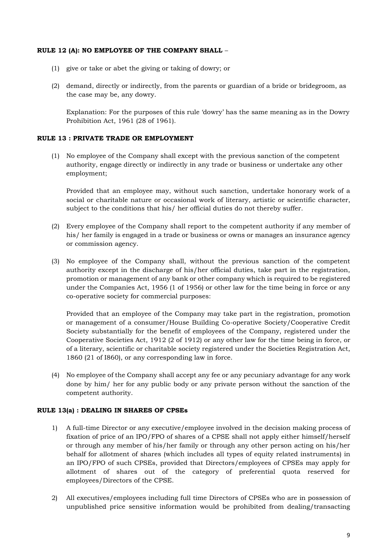#### **RULE 12 (A): NO EMPLOYEE OF THE COMPANY SHALL** –

- (1) give or take or abet the giving or taking of dowry; or
- (2) demand, directly or indirectly, from the parents or guardian of a bride or bridegroom, as the case may be, any dowry.

Explanation: For the purposes of this rule 'dowry' has the same meaning as in the Dowry Prohibition Act, 1961 (28 of 1961).

#### **RULE 13 : PRIVATE TRADE OR EMPLOYMENT**

(1) No employee of the Company shall except with the previous sanction of the competent authority, engage directly or indirectly in any trade or business or undertake any other employment;

Provided that an employee may, without such sanction, undertake honorary work of a social or charitable nature or occasional work of literary, artistic or scientific character, subject to the conditions that his/ her official duties do not thereby suffer.

- (2) Every employee of the Company shall report to the competent authority if any member of his/ her family is engaged in a trade or business or owns or manages an insurance agency or commission agency.
- (3) No employee of the Company shall, without the previous sanction of the competent authority except in the discharge of his/her official duties, take part in the registration, promotion or management of any bank or other company which is required to be registered under the Companies Act, 1956 (1 of 1956) or other law for the time being in force or any co-operative society for commercial purposes:

Provided that an employee of the Company may take part in the registration, promotion or management of a consumer/House Building Co-operative Society/Cooperative Credit Society substantially for the benefit of employees of the Company, registered under the Cooperative Societies Act, 1912 (2 of 1912) or any other law for the time being in force, or of a literary, scientific or charitable society registered under the Societies Registration Act, 1860 (21 of I860), or any corresponding law in force.

(4) No employee of the Company shall accept any fee or any pecuniary advantage for any work done by him/ her for any public body or any private person without the sanction of the competent authority.

#### **RULE 13(a) : DEALING IN SHARES OF CPSEs**

- 1) A full-time Director or any executive/employee involved in the decision making process of fixation of price of an IPO/FPO of shares of a CPSE shall not apply either himself/herself or through any member of his/her family or through any other person acting on his/her behalf for allotment of shares (which includes all types of equity related instruments) in an IPO/FPO of such CPSEs, provided that Directors/employees of CPSEs may apply for allotment of shares out of the category of preferential quota reserved for employees/Directors of the CPSE.
- 2) All executives/employees including full time Directors of CPSEs who are in possession of unpublished price sensitive information would be prohibited from dealing/transacting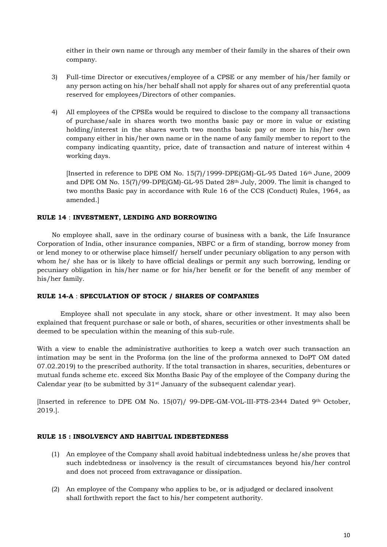either in their own name or through any member of their family in the shares of their own company.

- 3) Full-time Director or executives/employee of a CPSE or any member of his/her family or any person acting on his/her behalf shall not apply for shares out of any preferential quota reserved for employees/Directors of other companies.
- 4) All employees of the CPSEs would be required to disclose to the company all transactions of purchase/sale in shares worth two months basic pay or more in value or existing holding/interest in the shares worth two months basic pay or more in his/her own company either in his/her own name or in the name of any family member to report to the company indicating quantity, price, date of transaction and nature of interest within 4 working days.

[Inserted in reference to DPE OM No. 15(7)/1999-DPE(GM)-GL-95 Dated 16th June, 2009 and DPE OM No.  $15(7)/99$ -DPE(GM)-GL-95 Dated  $28<sup>th</sup>$  July, 2009. The limit is changed to two months Basic pay in accordance with Rule 16 of the CCS (Conduct) Rules, 1964, as amended.]

# **RULE 14** : **INVESTMENT, LENDING AND BORROWING**

No employee shall, save in the ordinary course of business with a bank, the Life Insurance Corporation of India, other insurance companies, NBFC or a firm of standing, borrow money from or lend money to or otherwise place himself/ herself under pecuniary obligation to any person with whom he/ she has or is likely to have official dealings or permit any such borrowing, lending or pecuniary obligation in his/her name or for his/her benefit or for the benefit of any member of his/her family.

#### **RULE 14-A** : **SPECULATION OF STOCK / SHARES OF COMPANIES**

Employee shall not speculate in any stock, share or other investment. It may also been explained that frequent purchase or sale or both, of shares, securities or other investments shall be deemed to be speculation within the meaning of this sub-rule.

With a view to enable the administrative authorities to keep a watch over such transaction an intimation may be sent in the Proforma (on the line of the proforma annexed to DoPT OM dated 07.02.2019) to the prescribed authority. If the total transaction in shares, securities, debentures or mutual funds scheme etc. exceed Six Months Basic Pay of the employee of the Company during the Calendar year (to be submitted by  $31<sup>st</sup>$  January of the subsequent calendar year).

[Inserted in reference to DPE OM No. 15(07)/ 99-DPE-GM-VOL-III-FTS-2344 Dated 9th October, 2019.].

#### **RULE 15 : INSOLVENCY AND HABITUAL INDEBTEDNESS**

- (1) An employee of the Company shall avoid habitual indebtedness unless he/she proves that such indebtedness or insolvency is the result of circumstances beyond his/her control and does not proceed from extravagance or dissipation.
- (2) An employee of the Company who applies to be, or is adjudged or declared insolvent shall forthwith report the fact to his/her competent authority.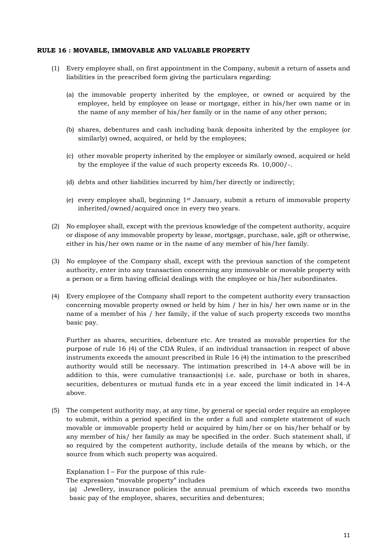#### **RULE 16 : MOVABLE, IMMOVABLE AND VALUABLE PROPERTY**

- (1) Every employee shall, on first appointment in the Company, submit a return of assets and liabilities in the prescribed form giving the particulars regarding:
	- (a) the immovable property inherited by the employee, or owned or acquired by the employee, held by employee on lease or mortgage, either in his/her own name or in the name of any member of his/her family or in the name of any other person;
	- (b) shares, debentures and cash including bank deposits inherited by the employee (or similarly) owned, acquired, or held by the employees;
	- (c) other movable property inherited by the employee or similarly owned, acquired or held by the employee if the value of such property exceeds Rs. 10,000/-.
	- (d) debts and other liabilities incurred by him/her directly or indirectly;
	- (e) every employee shall, beginning  $1<sup>st</sup>$  January, submit a return of immovable property inherited/owned/acquired once in every two years.
- (2) No employee shall, except with the previous knowledge of the competent authority, acquire or dispose of any immovable property by lease, mortgage, purchase, sale, gift or otherwise, either in his/her own name or in the name of any member of his/her family.
- (3) No employee of the Company shall, except with the previous sanction of the competent authority, enter into any transaction concerning any immovable or movable property with a person or a firm having official dealings with the employee or his/her subordinates.
- (4) Every employee of the Company shall report to the competent authority every transaction concerning movable property owned or held by him / her in his/ her own name or in the name of a member of his / her family, if the value of such property exceeds two months basic pay.

Further as shares, securities, debenture etc. Are treated as movable properties for the purpose of rule 16 (4) of the CDA Rules, if an individual transaction in respect of above instruments exceeds the amount prescribed in Rule 16 (4) the intimation to the prescribed authority would still be necessary. The intimation prescribed in 14-A above will be in addition to this, were cumulative transaction(s) i.e. sale, purchase or both in shares, securities, debentures or mutual funds etc in a year exceed the limit indicated in 14-A above.

(5) The competent authority may, at any time, by general or special order require an employee to submit, within a period specified in the order a full and complete statement of such movable or immovable property held or acquired by him/her or on his/her behalf or by any member of his/ her family as may be specified in the order. Such statement shall, if so required by the competent authority, include details of the means by which, or the source from which such property was acquired.

Explanation I – For the purpose of this rule-

The expression "movable property" includes

(a) Jewellery, insurance policies the annual premium of which exceeds two months basic pay of the employee, shares, securities and debentures;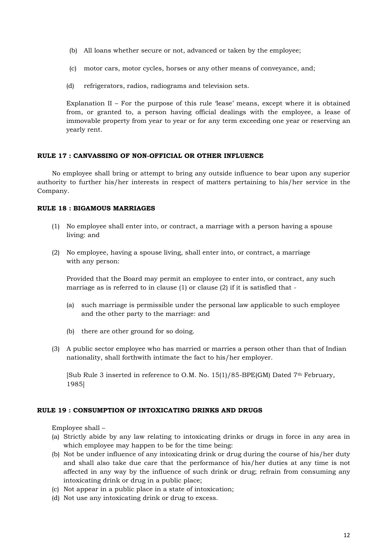- (b) All loans whether secure or not, advanced or taken by the employee;
- (c) motor cars, motor cycles, horses or any other means of conveyance, and;
- (d) refrigerators, radios, radiograms and television sets.

Explanation II – For the purpose of this rule 'lease' means, except where it is obtained from, or granted to, a person having official dealings with the employee, a lease of immovable property from year to year or for any term exceeding one year or reserving an yearly rent.

#### **RULE 17 : CANVASSING OF NON-OFFICIAL OR OTHER INFLUENCE**

No employee shall bring or attempt to bring any outside influence to bear upon any superior authority to further his/her interests in respect of matters pertaining to his/her service in the Company.

#### **RULE 18 : BIGAMOUS MARRIAGES**

- (1) No employee shall enter into, or contract, a marriage with a person having a spouse living: and
- (2) No employee, having a spouse living, shall enter into, or contract, a marriage with any person:

Provided that the Board may permit an employee to enter into, or contract, any such marriage as is referred to in clause (1) or clause (2) if it is satisfied that -

- (a) such marriage is permissible under the personal law applicable to such employee and the other party to the marriage: and
- (b) there are other ground for so doing.
- (3) A public sector employee who has married or marries a person other than that of Indian nationality, shall forthwith intimate the fact to his/her employer.

[Sub Rule 3 inserted in reference to O.M. No.  $15(1)/85$ -BPE(GM) Dated 7<sup>th</sup> February, 1985]

#### **RULE 19 : CONSUMPTION OF INTOXICATING DRINKS AND DRUGS**

Employee shall –

- (a) Strictly abide by any law relating to intoxicating drinks or drugs in force in any area in which employee may happen to be for the time being:
- (b) Not be under influence of any intoxicating drink or drug during the course of his/her duty and shall also take due care that the performance of his/her duties at any time is not affected in any way by the influence of such drink or drug; refrain from consuming any intoxicating drink or drug in a public place;
- (c) Not appear in a public place in a state of intoxication;
- (d) Not use any intoxicating drink or drug to excess.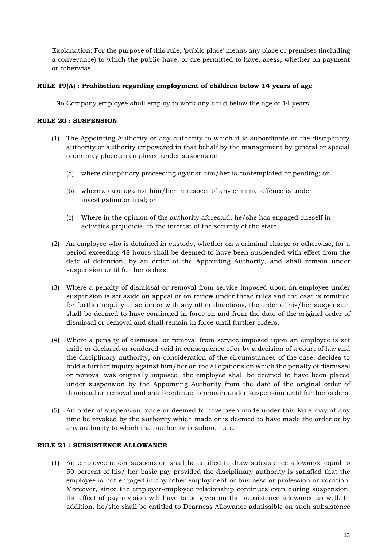Explanation: For the purpose of this rule, 'public place' means any place or premises (including a conveyance) to which the public have, or are permitted to have, acess, whether on payment or otherwise.

# **RULE 19(A) : Prohibition regarding employment of children below 14 years of age**

No Company employee shall employ to work any child below the age of 14 years.

# **RULE 20 : SUSPENSION**

- (1) The Appointing Authority or any authority to which it is subordinate or the disciplinary authority or authority empowered in that behalf by the management by general or special order may place an employee under suspension –
	- (a) where disciplinary proceeding against him/her is contemplated or pending; or
	- (b) where a case against him/her in respect of any criminal offence is under investigation or trial; or
	- (c) Where in the opinion of the authority aforesaid, he/she has engaged oneself in activities prejudicial to the interest of the security of the state.
- (2) An employee who is detained in custody, whether on a criminal charge or otherwise, for a period exceeding 48 hours shall be deemed to have been suspended with effect from the date of detention, by an order of the Appointing Authority, and shall remain under suspension until further orders.
- (3) Where a penalty of dismissal or removal from service imposed upon an employee under suspension is set aside on appeal or on review under these rules and the case is remitted for further inquiry or action or with any other directions, the order of his/her suspension shall be deemed to have continued in force on and from the date of the original order of dismissal or removal and shall remain in force until further orders.
- (4) Where a penalty of dismissal or removal from service imposed upon an employee is set aside or declared or rendered void in consequence of or by a decision of a court of law and the disciplinary authority, on consideration of the circumstances of the case, decides to hold a further inquiry against him/her on the allegations on which the penalty of dismissal or removal was originally imposed, the employee shall be deemed to have been placed under suspension by the Appointing Authority from the date of the original order of dismissal or removal and shall continue to remain under suspension until further orders.
- (5) An order of suspension made or deemed to have been made under this Rule may at any time be revoked by the authority which made or is deemed to have made the order or by any authority to which that authority is subordinate.

#### **RULE 21 : SUBSISTENCE ALLOWANCE**

(1) An employee under suspension shall be entitled to draw subsistence allowance equal to 50 percent of his/ her basic pay provided the disciplinary authority is satisfied that the employee is not engaged in any other employment or business or profession or vocation. Moreover, since the employer-employee relationship continues even during suspension, the effect of pay revision will have to be given on the subsistence allowance as well. In addition, he/she shall be entitled to Dearness Allowance admissible on such subsistence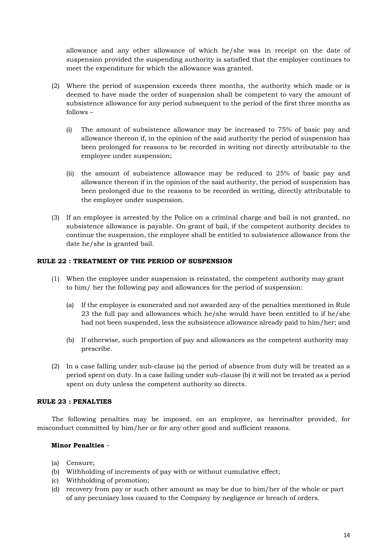allowance and any other allowance of which he/she was in receipt on the date of suspension provided the suspending authority is satisfied that the employee continues to meet the expenditure for which the allowance was granted.

- (2) Where the period of suspension exceeds three months, the authority which made or is deemed to have made the order of suspension shall be competent to vary the amount of subsistence allowance for any period subsequent to the period of the first three months as follows –
	- (i) The amount of subsistence allowance may be increased to 75% of basic pay and allowance thereon if, in the opinion of the said authority the period of suspension has been prolonged for reasons to be recorded in writing not directly attributable to the employee under suspension;
	- (ii) the amount of subsistence allowance may be reduced to 25% of basic pay and allowance thereon if in the opinion of the said authority, the period of suspension has been prolonged due to the reasons to be recorded in writing, directly attributable to the employee under suspension.
- (3) If an employee is arrested by the Police on a criminal charge and bail is not granted, no subsistence allowance is payable. On grant of bail, if the competent authority decides to continue the suspension, the employee shall be entitled to subsistence allowance from the date he/she is granted bail.

# **RULE 22 : TREATMENT OF THE PERIOD OF SUSPENSION**

- (1) When the employee under suspension is reinstated, the competent authority may grant to him/ her the following pay and allowances for the period of suspension:
	- (a) If the employee is exonerated and not awarded any of the penalties mentioned in Rule 23 the full pay and allowances which he/she would have been entitled to if he/she had not been suspended, less the subsistence allowance already paid to him/her; and
	- (b) If otherwise, such proportion of pay and allowances as the competent authority may prescribe.
- (2) In a case falling under sub-clause (a) the period of absence from duty will be treated as a period spent on duty. In a case failing under sub-clause (b) it will not be treated as a period spent on duty unless the competent authority so directs.

#### **RULE 23 : PENALTIES**

The following penalties may be imposed, on an employee, as hereinafter provided, for misconduct committed by him/her or for any other good and sufficient reasons.

# **Minor Penalties** –

- (a) Censure;
- (b) Withholding of increments of pay with or without cumulative effect;
- (c) Withholding of promotion;
- (d) recovery from pay or such other amount as may be due to him/her of the whole or part of any pecuniary loss caused to the Company by negligence or breach of orders.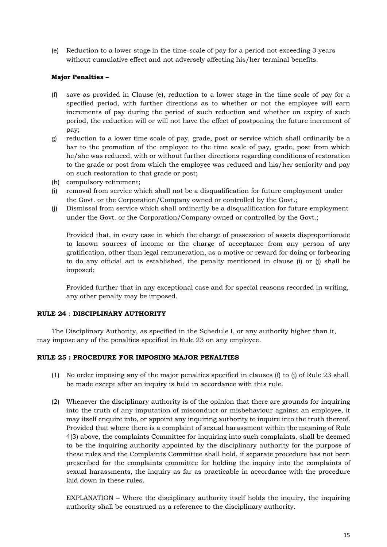(e) Reduction to a lower stage in the time-scale of pay for a period not exceeding 3 years without cumulative effect and not adversely affecting his/her terminal benefits.

# **Major Penalties** –

- (f) save as provided in Clause (e), reduction to a lower stage in the time scale of pay for a specified period, with further directions as to whether or not the employee will earn increments of pay during the period of such reduction and whether on expiry of such period, the reduction will or will not have the effect of postponing the future increment of pay;
- g) reduction to a lower time scale of pay, grade, post or service which shall ordinarily be a bar to the promotion of the employee to the time scale of pay, grade, post from which he/she was reduced, with or without further directions regarding conditions of restoration to the grade or post from which the employee was reduced and his/her seniority and pay on such restoration to that grade or post;
- (h) compulsory retirement;
- (i) removal from service which shall not be a disqualification for future employment under the Govt. or the Corporation/Company owned or controlled by the Govt.;
- (j) Dismissal from service which shall ordinarily be a disqualification for future employment under the Govt. or the Corporation/Company owned or controlled by the Govt.;

Provided that, in every case in which the charge of possession of assets disproportionate to known sources of income or the charge of acceptance from any person of any gratification, other than legal remuneration, as a motive or reward for doing or forbearing to do any official act is established, the penalty mentioned in clause (i) or (j) shall be imposed;

Provided further that in any exceptional case and for special reasons recorded in writing, any other penalty may be imposed.

#### **RULE 24** : **DISCIPLINARY AUTHORITY**

The Disciplinary Authority, as specified in the Schedule I, or any authority higher than it, may impose any of the penalties specified in Rule 23 on any employee.

#### **RULE 25 : PROCEDURE FOR IMPOSING MAJOR PENALTIES**

- (1) No order imposing any of the major penalties specified in clauses (f) to (j) of Rule 23 shall be made except after an inquiry is held in accordance with this rule.
- (2) Whenever the disciplinary authority is of the opinion that there are grounds for inquiring into the truth of any imputation of misconduct or misbehaviour against an employee, it may itself enquire into, or appoint any inquiring authority to inquire into the truth thereof. Provided that where there is a complaint of sexual harassment within the meaning of Rule 4(3) above, the complaints Committee for inquiring into such complaints, shall be deemed to be the inquiring authority appointed by the disciplinary authority for the purpose of these rules and the Complaints Committee shall hold, if separate procedure has not been prescribed for the complaints committee for holding the inquiry into the complaints of sexual harassments, the inquiry as far as practicable in accordance with the procedure laid down in these rules.

 $EXPLANATION - Where the disciplinary authority itself holds the inquiry, the inquiring$ authority shall be construed as a reference to the disciplinary authority.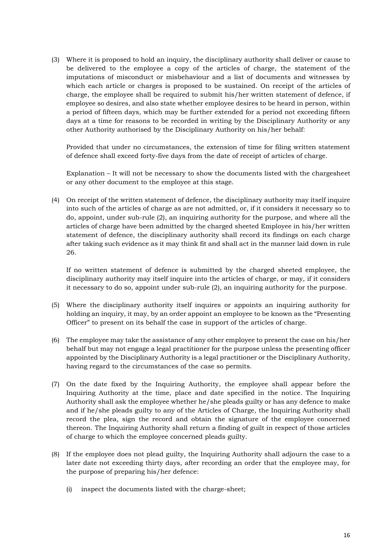(3) Where it is proposed to hold an inquiry, the disciplinary authority shall deliver or cause to be delivered to the employee a copy of the articles of charge, the statement of the imputations of misconduct or misbehaviour and a list of documents and witnesses by which each article or charges is proposed to be sustained. On receipt of the articles of charge, the employee shall be required to submit his/her written statement of defence, if employee so desires, and also state whether employee desires to be heard in person, within a period of fifteen days, which may be further extended for a period not exceeding fifteen days at a time for reasons to be recorded in writing by the Disciplinary Authority or any other Authority authorised by the Disciplinary Authority on his/her behalf:

Provided that under no circumstances, the extension of time for filing written statement of defence shall exceed forty-five days from the date of receipt of articles of charge.

Explanation – It will not be necessary to show the documents listed with the chargesheet or any other document to the employee at this stage.

(4) On receipt of the written statement of defence, the disciplinary authority may itself inquire into such of the articles of charge as are not admitted, or, if it considers it necessary so to do, appoint, under sub-rule (2), an inquiring authority for the purpose, and where all the articles of charge have been admitted by the charged sheeted Employee in his/her written statement of defence, the disciplinary authority shall record its findings on each charge after taking such evidence as it may think fit and shall act in the manner laid down in rule 26.

If no written statement of defence is submitted by the charged sheeted employee, the disciplinary authority may itself inquire into the articles of charge, or may, if it considers it necessary to do so, appoint under sub-rule (2), an inquiring authority for the purpose.

- (5) Where the disciplinary authority itself inquires or appoints an inquiring authority for holding an inquiry, it may, by an order appoint an employee to be known as the "Presenting Officer" to present on its behalf the case in support of the articles of charge.
- (6) The employee may take the assistance of any other employee to present the case on his/her behalf but may not engage a legal practitioner for the purpose unless the presenting officer appointed by the Disciplinary Authority is a legal practitioner or the Disciplinary Authority, having regard to the circumstances of the case so permits.
- (7) On the date fixed by the Inquiring Authority, the employee shall appear before the Inquiring Authority at the time, place and date specified in the notice. The Inquiring Authority shall ask the employee whether he/she pleads guilty or has any defence to make and if he/she pleads guilty to any of the Articles of Charge, the Inquiring Authority shall record the plea, sign the record and obtain the signature of the employee concerned thereon. The Inquiring Authority shall return a finding of guilt in respect of those articles of charge to which the employee concerned pleads guilty.
- (8) If the employee does not plead guilty, the Inquiring Authority shall adjourn the case to a later date not exceeding thirty days, after recording an order that the employee may, for the purpose of preparing his/her defence:
	- (i) inspect the documents listed with the charge-sheet;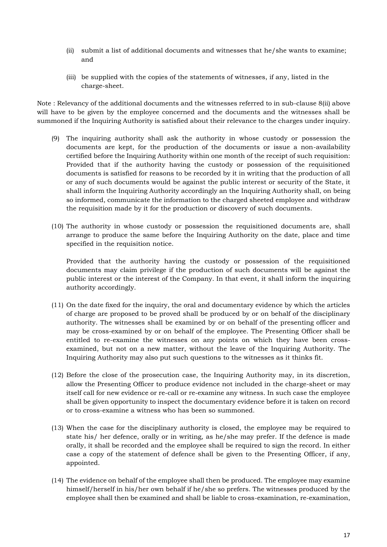- (ii) submit a list of additional documents and witnesses that he/she wants to examine; and
- (iii) be supplied with the copies of the statements of witnesses, if any, listed in the charge-sheet.

Note : Relevancy of the additional documents and the witnesses referred to in sub-clause 8(ii) above will have to be given by the employee concerned and the documents and the witnesses shall be summoned if the Inquiring Authority is satisfied about their relevance to the charges under inquiry.

- (9) The inquiring authority shall ask the authority in whose custody or possession the documents are kept, for the production of the documents or issue a non-availability certified before the Inquiring Authority within one month of the receipt of such requisition: Provided that if the authority having the custody or possession of the requisitioned documents is satisfied for reasons to be recorded by it in writing that the production of all or any of such documents would be against the public interest or security of the State, it shall inform the Inquiring Authority accordingly an the Inquiring Authority shall, on being so informed, communicate the information to the charged sheeted employee and withdraw the requisition made by it for the production or discovery of such documents.
- (10) The authority in whose custody or possession the requisitioned documents are, shall arrange to produce the same before the Inquiring Authority on the date, place and time specified in the requisition notice.

Provided that the authority having the custody or possession of the requisitioned documents may claim privilege if the production of such documents will be against the public interest or the interest of the Company. In that event, it shall inform the inquiring authority accordingly.

- (11) On the date fixed for the inquiry, the oral and documentary evidence by which the articles of charge are proposed to be proved shall be produced by or on behalf of the disciplinary authority. The witnesses shall be examined by or on behalf of the presenting officer and may be cross-examined by or on behalf of the employee. The Presenting Officer shall be entitled to re-examine the witnesses on any points on which they have been crossexamined, but not on a new matter, without the leave of the Inquiring Authority. The Inquiring Authority may also put such questions to the witnesses as it thinks fit.
- (12) Before the close of the prosecution case, the Inquiring Authority may, in its discretion, allow the Presenting Officer to produce evidence not included in the charge-sheet or may itself call for new evidence or re-call or re-examine any witness. In such case the employee shall be given opportunity to inspect the documentary evidence before it is taken on record or to cross-examine a witness who has been so summoned.
- (13) When the case for the disciplinary authority is closed, the employee may be required to state his/ her defence, orally or in writing, as he/she may prefer. If the defence is made orally, it shall be recorded and the employee shall be required to sign the record. In either case a copy of the statement of defence shall be given to the Presenting Officer, if any, appointed.
- (14) The evidence on behalf of the employee shall then be produced. The employee may examine himself/herself in his/her own behalf if he/she so prefers. The witnesses produced by the employee shall then be examined and shall be liable to cross-examination, re-examination,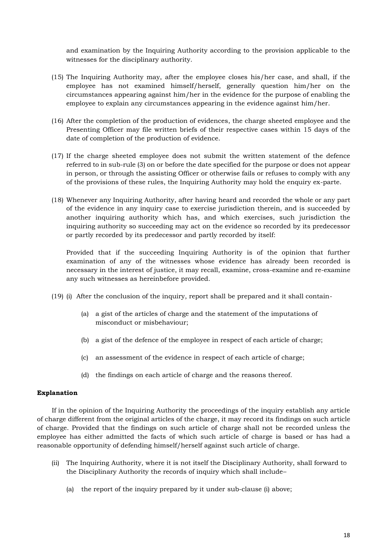and examination by the Inquiring Authority according to the provision applicable to the witnesses for the disciplinary authority.

- (15) The Inquiring Authority may, after the employee closes his/her case, and shall, if the employee has not examined himself/herself, generally question him/her on the circumstances appearing against him/her in the evidence for the purpose of enabling the employee to explain any circumstances appearing in the evidence against him/her.
- (16) After the completion of the production of evidences, the charge sheeted employee and the Presenting Officer may file written briefs of their respective cases within 15 days of the date of completion of the production of evidence.
- (17) If the charge sheeted employee does not submit the written statement of the defence referred to in sub-rule (3) on or before the date specified for the purpose or does not appear in person, or through the assisting Officer or otherwise fails or refuses to comply with any of the provisions of these rules, the Inquiring Authority may hold the enquiry ex-parte.
- (18) Whenever any Inquiring Authority, after having heard and recorded the whole or any part of the evidence in any inquiry case to exercise jurisdiction therein, and is succeeded by another inquiring authority which has, and which exercises, such jurisdiction the inquiring authority so succeeding may act on the evidence so recorded by its predecessor or partly recorded by its predecessor and partly recorded by itself:

Provided that if the succeeding Inquiring Authority is of the opinion that further examination of any of the witnesses whose evidence has already been recorded is necessary in the interest of justice, it may recall, examine, cross-examine and re-examine any such witnesses as hereinbefore provided.

- (19) (i) After the conclusion of the inquiry, report shall be prepared and it shall contain-
	- (a) a gist of the articles of charge and the statement of the imputations of misconduct or misbehaviour;
	- (b) a gist of the defence of the employee in respect of each article of charge;
	- (c) an assessment of the evidence in respect of each article of charge;
	- (d) the findings on each article of charge and the reasons thereof.

#### **Explanation**

If in the opinion of the Inquiring Authority the proceedings of the inquiry establish any article of charge different from the original articles of the charge, it may record its findings on such article of charge. Provided that the findings on such article of charge shall not be recorded unless the employee has either admitted the facts of which such article of charge is based or has had a reasonable opportunity of defending himself/herself against such article of charge.

- (ii) The Inquiring Authority, where it is not itself the Disciplinary Authority, shall forward to the Disciplinary Authority the records of inquiry which shall include–
	- (a) the report of the inquiry prepared by it under sub-clause (i) above;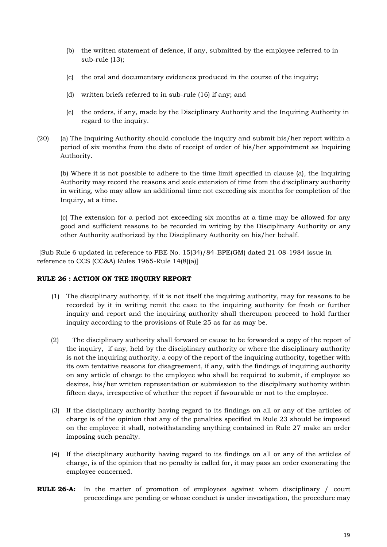- (b) the written statement of defence, if any, submitted by the employee referred to in sub-rule (13);
- (c) the oral and documentary evidences produced in the course of the inquiry;
- (d) written briefs referred to in sub-rule (16) if any; and
- (e) the orders, if any, made by the Disciplinary Authority and the Inquiring Authority in regard to the inquiry.
- (20) (a) The Inquiring Authority should conclude the inquiry and submit his/her report within a period of six months from the date of receipt of order of his/her appointment as Inquiring Authority.

(b) Where it is not possible to adhere to the time limit specified in clause (a), the Inquiring Authority may record the reasons and seek extension of time from the disciplinary authority in writing, who may allow an additional time not exceeding six months for completion of the Inquiry, at a time.

(c) The extension for a period not exceeding six months at a time may be allowed for any good and sufficient reasons to be recorded in writing by the Disciplinary Authority or any other Authority authorized by the Disciplinary Authority on his/her behalf.

[Sub Rule 6 updated in reference to PBE No. 15(34)/84-BPE(GM) dated 21-08-1984 issue in reference to CCS (CC&A) Rules 1965-Rule 14(8)(a)]

#### **RULE 26 : ACTION ON THE INQUIRY REPORT**

- (1) The disciplinary authority, if it is not itself the inquiring authority, may for reasons to be recorded by it in writing remit the case to the inquiring authority for fresh or further inquiry and report and the inquiring authority shall thereupon proceed to hold further inquiry according to the provisions of Rule 25 as far as may be.
- (2) The disciplinary authority shall forward or cause to be forwarded a copy of the report of the inquiry, if any, held by the disciplinary authority or where the disciplinary authority is not the inquiring authority, a copy of the report of the inquiring authority, together with its own tentative reasons for disagreement, if any, with the findings of inquiring authority on any article of charge to the employee who shall be required to submit, if employee so desires, his/her written representation or submission to the disciplinary authority within fifteen days, irrespective of whether the report if favourable or not to the employee.
- (3) If the disciplinary authority having regard to its findings on all or any of the articles of charge is of the opinion that any of the penalties specified in Rule 23 should be imposed on the employee it shall, notwithstanding anything contained in Rule 27 make an order imposing such penalty.
- (4) If the disciplinary authority having regard to its findings on all or any of the articles of charge, is of the opinion that no penalty is called for, it may pass an order exonerating the employee concerned.
- **RULE 26-A:** In the matter of promotion of employees against whom disciplinary / court proceedings are pending or whose conduct is under investigation, the procedure may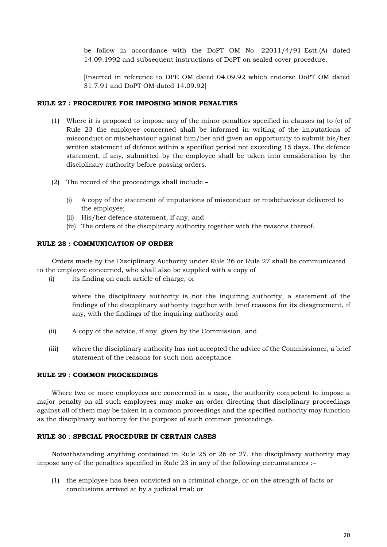be follow in accordance with the DoPT OM No. 22011/4/91-Estt.(A) dated 14.09.1992 and subsequent instructions of DoPT on sealed cover procedure.

[Inserted in reference to DPE OM dated 04.09.92 which endorse DoPT OM dated 31.7.91 and DoPT OM dated 14.09.92]

#### **RULE 27 : PROCEDURE FOR IMPOSING MINOR PENALTIES**

- (1) Where it is proposed to impose any of the minor penalties specified in clauses (a) to (e) of Rule 23 the employee concerned shall be informed in writing of the imputations of misconduct or misbehaviour against him/her and given an opportunity to submit his/her written statement of defence within a specified period not exceeding 15 days. The defence statement, if any, submitted by the employee shall be taken into consideration by the disciplinary authority before passing orders.
- (2) The record of the proceedings shall include
	- (i) A copy of the statement of imputations of misconduct or misbehaviour delivered to the employee;
	- (ii) His/her defence statement, if any, and
	- (iii) The orders of the disciplinary authority together with the reasons thereof.

#### **RULE 28 : COMMUNICATION OF ORDER**

Orders made by the Disciplinary Authority under Rule 26 or Rule 27 shall be communicated to the employee concerned, who shall also be supplied with a copy of

(i) its finding on each article of charge, or

where the disciplinary authority is not the inquiring authority, a statement of the findings of the disciplinary authority together with brief reasons for its disagreement, if any, with the findings of the inquiring authority and

- (ii) A copy of the advice, if any, given by the Commission, and
- (iii) where the disciplinary authority has not accepted the advice of the Commissioner, a brief statement of the reasons for such non-acceptance.

#### **RULE 29** : **COMMON PROCEEDINGS**

Where two or more employees are concerned in a case, the authority competent to impose a major penalty on all such employees may make an order directing that disciplinary proceedings against all of them may be taken in a common proceedings and the specified authority may function as the disciplinary authority for the purpose of such common proceedings.

#### **RULE 30** : **SPECIAL PROCEDURE IN CERTAIN CASES**

Notwithstanding anything contained in Rule 25 or 26 or 27, the disciplinary authority may impose any of the penalties specified in Rule 23 in any of the following circumstances :–

(1) the employee has been convicted on a criminal charge, or on the strength of facts or conclusions arrived at by a judicial trial; or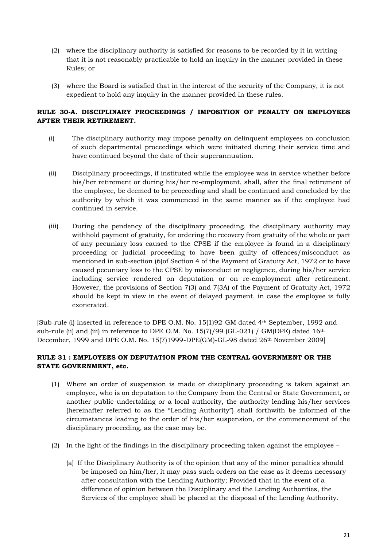- (2) where the disciplinary authority is satisfied for reasons to be recorded by it in writing that it is not reasonably practicable to hold an inquiry in the manner provided in these Rules; or
- (3) where the Board is satisfied that in the interest of the security of the Company, it is not expedient to hold any inquiry in the manner provided in these rules.

# **RULE 30-A. DISCIPLINARY PROCEEDINGS / IMPOSITION OF PENALTY ON EMPLOYEES AFTER THEIR RETIREMENT.**

- (i) The disciplinary authority may impose penalty on delinquent employees on conclusion of such departmental proceedings which were initiated during their service time and have continued beyond the date of their superannuation.
- (ii) Disciplinary proceedings, if instituted while the employee was in service whether before his/her retirement or during his/her re-employment, shall, after the final retirement of the employee, be deemed to be proceeding and shall be continued and concluded by the authority by which it was commenced in the same manner as if the employee had continued in service.
- (iii) During the pendency of the disciplinary proceeding, the disciplinary authority may withhold payment of gratuity, for ordering the recovery from gratuity of the whole or part of any pecuniary loss caused to the CPSE if the employee is found in a disciplinary proceeding or judicial proceeding to have been guilty of offences/misconduct as mentioned in sub-section (6)of Section 4 of the Payment of Gratuity Act, 1972 or to have caused pecuniary loss to the CPSE by misconduct or negligence, during his/her service including service rendered on deputation or on re-employment after retirement. However, the provisions of Section 7(3) and 7(3A) of the Payment of Gratuity Act, 1972 should be kept in view in the event of delayed payment, in case the employee is fully exonerated.

[Sub-rule (i) inserted in reference to DPE O.M. No. 15(1)92-GM dated 4th September, 1992 and sub-rule (ii) and (iii) in reference to DPE O.M. No.  $15(7)/99$  (GL-021) / GM(DPE) dated  $16<sup>th</sup>$ December, 1999 and DPE O.M. No. 15(7)1999-DPE(GM)-GL-98 dated 26<sup>th</sup> November 2009]

# **RULE 31 : EMPLOYEES ON DEPUTATION FROM THE CENTRAL GOVERNMENT OR THE STATE GOVERNMENT, etc.**

- (1) Where an order of suspension is made or disciplinary proceeding is taken against an employee, who is on deputation to the Company from the Central or State Government, or another public undertaking or a local authority, the authority lending his/her services (hereinafter referred to as the "Lending Authority") shall forthwith be informed of the circumstances leading to the order of his/her suspension, or the commencement of the disciplinary proceeding, as the case may be.
- (2) In the light of the findings in the disciplinary proceeding taken against the employee
	- (a) If the Disciplinary Authority is of the opinion that any of the minor penalties should be imposed on him/her, it may pass such orders on the case as it deems necessary after consultation with the Lending Authority; Provided that in the event of a difference of opinion between the Disciplinary and the Lending Authorities, the Services of the employee shall be placed at the disposal of the Lending Authority.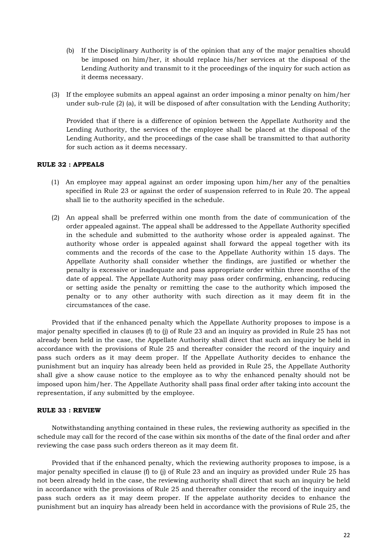- (b) If the Disciplinary Authority is of the opinion that any of the major penalties should be imposed on him/her, it should replace his/her services at the disposal of the Lending Authority and transmit to it the proceedings of the inquiry for such action as it deems necessary.
- (3) If the employee submits an appeal against an order imposing a minor penalty on him/her under sub-rule (2) (a), it will be disposed of after consultation with the Lending Authority;

Provided that if there is a difference of opinion between the Appellate Authority and the Lending Authority, the services of the employee shall be placed at the disposal of the Lending Authority, and the proceedings of the case shall be transmitted to that authority for such action as it deems necessary.

#### **RULE 32 : APPEALS**

- (1) An employee may appeal against an order imposing upon him/her any of the penalties specified in Rule 23 or against the order of suspension referred to in Rule 20. The appeal shall lie to the authority specified in the schedule.
- (2) An appeal shall be preferred within one month from the date of communication of the order appealed against. The appeal shall be addressed to the Appellate Authority specified in the schedule and submitted to the authority whose order is appealed against. The authority whose order is appealed against shall forward the appeal together with its comments and the records of the case to the Appellate Authority within 15 days. The Appellate Authority shall consider whether the findings, are justified or whether the penalty is excessive or inadequate and pass appropriate order within three months of the date of appeal. The Appellate Authority may pass order confirming, enhancing, reducing or setting aside the penalty or remitting the case to the authority which imposed the penalty or to any other authority with such direction as it may deem fit in the circumstances of the case.

Provided that if the enhanced penalty which the Appellate Authority proposes to impose is a major penalty specified in clauses (f) to (j) of Rule 23 and an inquiry as provided in Rule 25 has not already been held in the case, the Appellate Authority shall direct that such an inquiry be held in accordance with the provisions of Rule 25 and thereafter consider the record of the inquiry and pass such orders as it may deem proper. If the Appellate Authority decides to enhance the punishment but an inquiry has already been held as provided in Rule 25, the Appellate Authority shall give a show cause notice to the employee as to why the enhanced penalty should not be imposed upon him/her. The Appellate Authority shall pass final order after taking into account the representation, if any submitted by the employee.

#### **RULE 33 : REVIEW**

Notwithstanding anything contained in these rules, the reviewing authority as specified in the schedule may call for the record of the case within six months of the date of the final order and after reviewing the case pass such orders thereon as it may deem fit.

Provided that if the enhanced penalty, which the reviewing authority proposes to impose, is a major penalty specified in clause (f) to (j) of Rule 23 and an inquiry as provided under Rule 25 has not been already held in the case, the reviewing authority shall direct that such an inquiry be held in accordance with the provisions of Rule 25 and thereafter consider the record of the inquiry and pass such orders as it may deem proper. If the appelate authority decides to enhance the punishment but an inquiry has already been held in accordance with the provisions of Rule 25, the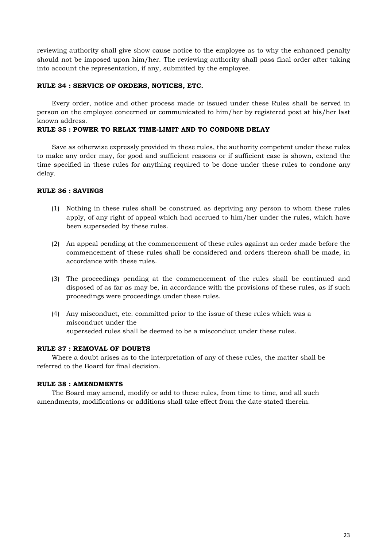reviewing authority shall give show cause notice to the employee as to why the enhanced penalty should not be imposed upon him/her. The reviewing authority shall pass final order after taking into account the representation, if any, submitted by the employee.

#### **RULE 34 : SERVICE OF ORDERS, NOTICES, ETC.**

Every order, notice and other process made or issued under these Rules shall be served in person on the employee concerned or communicated to him/her by registered post at his/her last known address.

#### **RULE 35 : POWER TO RELAX TIME-LIMIT AND TO CONDONE DELAY**

Save as otherwise expressly provided in these rules, the authority competent under these rules to make any order may, for good and sufficient reasons or if sufficient case is shown, extend the time specified in these rules for anything required to be done under these rules to condone any delay.

#### **RULE 36 : SAVINGS**

- (1) Nothing in these rules shall be construed as depriving any person to whom these rules apply, of any right of appeal which had accrued to him/her under the rules, which have been superseded by these rules.
- (2) An appeal pending at the commencement of these rules against an order made before the commencement of these rules shall be considered and orders thereon shall be made, in accordance with these rules.
- (3) The proceedings pending at the commencement of the rules shall be continued and disposed of as far as may be, in accordance with the provisions of these rules, as if such proceedings were proceedings under these rules.
- (4) Any misconduct, etc. committed prior to the issue of these rules which was a misconduct under the superseded rules shall be deemed to be a misconduct under these rules.

#### **RULE 37 : REMOVAL OF DOUBTS**

Where a doubt arises as to the interpretation of any of these rules, the matter shall be referred to the Board for final decision.

#### **RULE 38 : AMENDMENTS**

The Board may amend, modify or add to these rules, from time to time, and all such amendments, modifications or additions shall take effect from the date stated therein.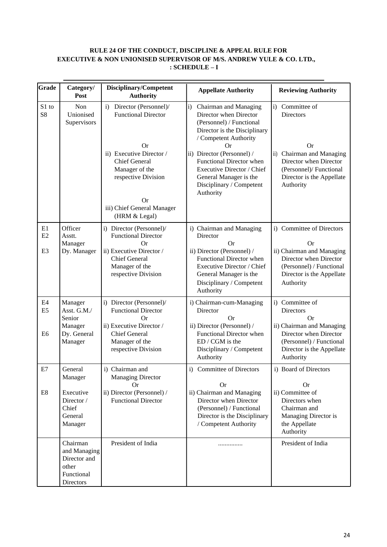# **RULE 24 OF THE CONDUCT, DISCIPLINE & APPEAL RULE FOR EXECUTIVE & NON UNIONISED SUPERVISOR OF M/S. ANDREW YULE & CO. LTD., : SCHEDULE – I**

| <b>Grade</b>                           | Category/<br>Post                                                            | Disciplinary/Competent<br><b>Authority</b>                                                                                                                                                                                   | <b>Appellate Authority</b>                                                                                                                                                                                                                                                                                            | <b>Reviewing Authority</b>                                                                                                                                                             |  |
|----------------------------------------|------------------------------------------------------------------------------|------------------------------------------------------------------------------------------------------------------------------------------------------------------------------------------------------------------------------|-----------------------------------------------------------------------------------------------------------------------------------------------------------------------------------------------------------------------------------------------------------------------------------------------------------------------|----------------------------------------------------------------------------------------------------------------------------------------------------------------------------------------|--|
| S1 to<br>S <sub>8</sub>                | Non<br>Unionised<br>Supervisors                                              | i) Director (Personnel)/<br><b>Functional Director</b><br><b>Or</b><br>ii) Executive Director /<br><b>Chief General</b><br>Manager of the<br>respective Division<br><b>Or</b><br>iii) Chief General Manager<br>(HRM & Legal) | Chairman and Managing<br>$\mathbf{i}$<br>Director when Director<br>(Personnel) / Functional<br>Director is the Disciplinary<br>/ Competent Authority<br>Or<br>ii) Director (Personnel) /<br>Functional Director when<br>Executive Director / Chief<br>General Manager is the<br>Disciplinary / Competent<br>Authority | i) Committee of<br>Directors<br><b>Or</b><br>Chairman and Managing<br>$\ddot{\text{1}}$<br>Director when Director<br>(Personnel)/ Functional<br>Director is the Appellate<br>Authority |  |
| E1<br>E2<br>E <sub>3</sub>             | Officer<br>Asstt.<br>Manager<br>Dy. Manager                                  | i) Director (Personnel)/<br><b>Functional Director</b><br><b>Or</b><br>ii) Executive Director /<br><b>Chief General</b><br>Manager of the<br>respective Division                                                             | i) Chairman and Managing<br>Director<br><b>Or</b><br>ii) Director (Personnel) /<br>Functional Director when<br>Executive Director / Chief<br>General Manager is the<br>Disciplinary / Competent<br>Authority                                                                                                          | i) Committee of Directors<br><b>Or</b><br>ii) Chairman and Managing<br>Director when Director<br>(Personnel) / Functional<br>Director is the Appellate<br>Authority                    |  |
| E4<br>E <sub>5</sub><br>E <sub>6</sub> | Manager<br>Asst. G.M./<br>Senior<br>Manager<br>Dy. General<br>Manager        | i) Director (Personnel)/<br><b>Functional Director</b><br>Or<br>ii) Executive Director /<br><b>Chief General</b><br>Manager of the<br>respective Division                                                                    | i) Chairman-cum-Managing<br>Director<br><b>Or</b><br>ii) Director (Personnel) /<br>Functional Director when<br>ED / CGM is the<br>Disciplinary / Competent<br>Authority                                                                                                                                               | i) Committee of<br>Directors<br><b>Or</b><br>ii) Chairman and Managing<br>Director when Director<br>(Personnel) / Functional<br>Director is the Appellate<br>Authority                 |  |
| E7<br>E8                               | General<br>Manager<br>Executive<br>Director /<br>Chief<br>General<br>Manager | i) Chairman and<br><b>Managing Director</b><br>Or<br>ii) Director (Personnel) /<br><b>Functional Director</b>                                                                                                                | i) Committee of Directors<br><b>Or</b><br>ii) Chairman and Managing<br>Director when Director<br>(Personnel) / Functional<br>Director is the Disciplinary<br>/ Competent Authority                                                                                                                                    | i) Board of Directors<br><b>Or</b><br>ii) Committee of<br>Directors when<br>Chairman and<br>Managing Director is<br>the Appellate<br>Authority                                         |  |
|                                        | Chairman<br>and Managing<br>Director and<br>other<br>Functional<br>Directors | President of India                                                                                                                                                                                                           | .                                                                                                                                                                                                                                                                                                                     | President of India                                                                                                                                                                     |  |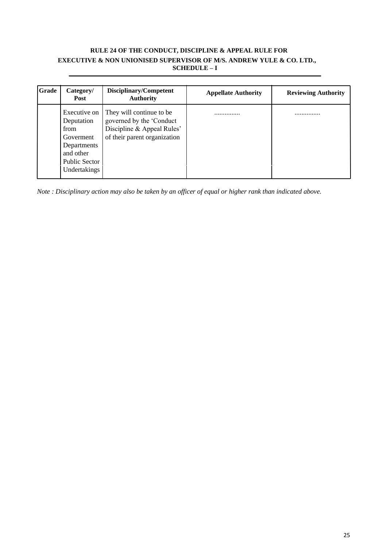# **RULE 24 OF THE CONDUCT, DISCIPLINE & APPEAL RULE FOR EXECUTIVE & NON UNIONISED SUPERVISOR OF M/S. ANDREW YULE & CO. LTD., SCHEDULE – I**

| Grade | Category/<br>Post                                                                                              | Disciplinary/Competent<br><b>Authority</b>                                                                         | <b>Appellate Authority</b> | <b>Reviewing Authority</b> |
|-------|----------------------------------------------------------------------------------------------------------------|--------------------------------------------------------------------------------------------------------------------|----------------------------|----------------------------|
|       | Executive on 1<br>Deputation<br>from<br>Goverment<br>Departments<br>and other<br>Public Sector<br>Undertakings | They will continue to be<br>governed by the 'Conduct<br>Discipline & Appeal Rules'<br>of their parent organization | .                          | .                          |

*Note : Disciplinary action may also be taken by an officer of equal or higher rank than indicated above.*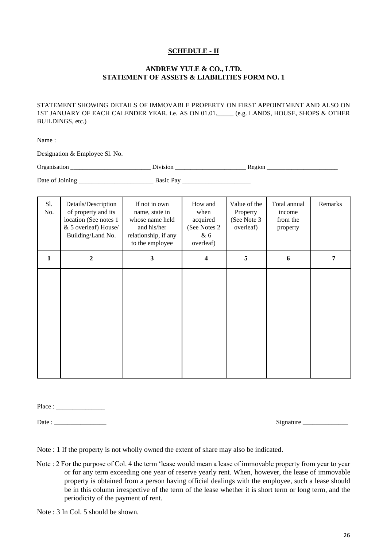# **SCHEDULE - II**

# **ANDREW YULE & CO., LTD. STATEMENT OF ASSETS & LIABILITIES FORM NO. 1**

STATEMENT SHOWING DETAILS OF IMMOVABLE PROPERTY ON FIRST APPOINTMENT AND ALSO ON 1ST JANUARY OF EACH CALENDER YEAR. i.e. AS ON 01.01.\_\_\_\_\_ (e.g. LANDS, HOUSE, SHOPS & OTHER BUILDINGS, etc.)

Name :

Designation & Employee Sl. No.

| $\overline{\phantom{0}}$<br>J r r<br>.<br>$\sim$ $\sim$ |  |
|---------------------------------------------------------|--|
|                                                         |  |

Date of Joining \_\_\_\_\_\_\_\_\_\_\_\_\_\_\_\_\_\_\_\_\_\_\_ Basic Pay \_\_\_\_\_\_\_\_\_\_\_\_\_\_\_\_\_\_\_\_\_

| S1.<br>No.   | Details/Description<br>of property and its<br>location (See notes 1<br>& 5 overleaf) House/<br>Building/Land No. | If not in own<br>name, state in<br>whose name held<br>and his/her<br>relationship, if any<br>to the employee | How and<br>when<br>acquired<br>(See Notes 2)<br>& 6<br>overleaf) | Value of the<br>Property<br>(See Note 3<br>overleaf) | Total annual<br>income<br>from the<br>property | Remarks |
|--------------|------------------------------------------------------------------------------------------------------------------|--------------------------------------------------------------------------------------------------------------|------------------------------------------------------------------|------------------------------------------------------|------------------------------------------------|---------|
| $\mathbf{1}$ | $\boldsymbol{2}$                                                                                                 | 3                                                                                                            | 4                                                                | 5                                                    | 6                                              | 7       |
|              |                                                                                                                  |                                                                                                              |                                                                  |                                                      |                                                |         |

Place : \_\_\_\_\_\_\_\_\_\_\_\_\_\_\_

Date : \_\_\_\_\_\_\_\_\_\_\_\_\_\_\_\_ Signature \_\_\_\_\_\_\_\_\_\_\_\_\_\_

Note : 1 If the property is not wholly owned the extent of share may also be indicated.

Note : 2 For the purpose of Col. 4 the term 'lease would mean a lease of immovable property from year to year or for any term exceeding one year of reserve yearly rent. When, however, the lease of immovable property is obtained from a person having official dealings with the employee, such a lease should be in this column irrespective of the term of the lease whether it is short term or long term, and the periodicity of the payment of rent.

Note : 3 In Col. 5 should be shown.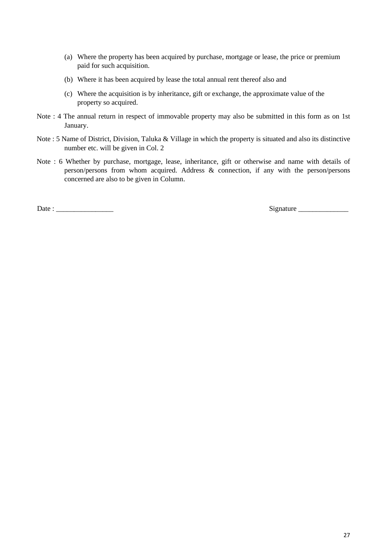- (a) Where the property has been acquired by purchase, mortgage or lease, the price or premium paid for such acquisition.
- (b) Where it has been acquired by lease the total annual rent thereof also and
- (c) Where the acquisition is by inheritance, gift or exchange, the approximate value of the property so acquired.
- Note : 4 The annual return in respect of immovable property may also be submitted in this form as on 1st January.
- Note : 5 Name of District, Division, Taluka & Village in which the property is situated and also its distinctive number etc. will be given in Col. 2
- Note : 6 Whether by purchase, mortgage, lease, inheritance, gift or otherwise and name with details of person/persons from whom acquired. Address & connection, if any with the person/persons concerned are also to be given in Column.

Date : \_\_\_\_\_\_\_\_\_\_\_\_\_\_\_\_ Signature \_\_\_\_\_\_\_\_\_\_\_\_\_\_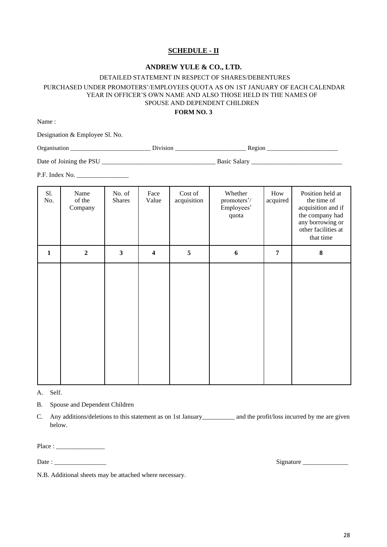# **SCHEDULE - II**

#### **ANDREW YULE & CO., LTD.**

# DETAILED STATEMENT IN RESPECT OF SHARES/DEBENTURES PURCHASED UNDER PROMOTERS'/EMPLOYEES QUOTA AS ON 1ST JANUARY OF EACH CALENDAR YEAR IN OFFICER'S OWN NAME AND ALSO THOSE HELD IN THE NAMES OF SPOUSE AND DEPENDENT CHILDREN

# **FORM NO. 3**

Name :

Designation & Employee Sl. No.

Organisation \_\_\_\_\_\_\_\_\_\_\_\_\_\_\_\_\_\_\_\_\_\_\_\_\_\_ Division \_\_\_\_\_\_\_\_\_\_\_\_\_\_\_\_\_\_\_\_\_\_\_ Region \_\_\_\_\_\_\_\_\_\_\_\_\_\_\_\_\_\_\_\_\_\_\_

Date of Joining the PSU \_\_\_\_\_\_\_\_\_\_\_\_\_\_\_\_\_\_\_\_\_\_\_\_\_\_\_\_\_\_\_\_\_\_\_ Basic Salary \_\_\_\_\_\_\_\_\_\_\_\_\_\_\_\_\_\_\_\_\_\_\_\_\_\_\_\_

P.F. Index No. \_\_\_\_\_\_\_\_\_\_\_\_\_\_\_\_

| Sl.<br>No.   | Name<br>of the<br>Company | No. of<br><b>Shares</b> | Face<br>Value           | Cost of<br>acquisition | Whether<br>promoters'/<br>Employees'<br>quota | How<br>acquired | Position held at<br>the time of<br>acquisition and if<br>the company had<br>any borrowing or<br>other facilities at<br>that time |
|--------------|---------------------------|-------------------------|-------------------------|------------------------|-----------------------------------------------|-----------------|----------------------------------------------------------------------------------------------------------------------------------|
| $\mathbf{1}$ | $\overline{2}$            | $\mathbf{3}$            | $\overline{\mathbf{4}}$ | $\sqrt{5}$             | 6                                             | 7               | $\bf 8$                                                                                                                          |
|              |                           |                         |                         |                        |                                               |                 |                                                                                                                                  |

A. Self.

B. Spouse and Dependent Children

C. Any additions/deletions to this statement as on 1st January\_\_\_\_\_\_\_\_\_\_ and the profit/loss incurred by me are given below.

Place : \_\_\_\_\_\_\_\_\_\_\_\_\_\_\_

Date : \_\_\_\_\_\_\_\_\_\_\_\_\_\_\_\_ Signature \_\_\_\_\_\_\_\_\_\_\_\_\_\_

N.B. Additional sheets may be attached where necessary.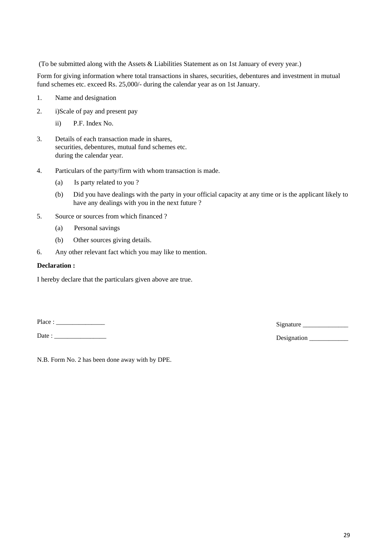(To be submitted along with the Assets & Liabilities Statement as on 1st January of every year.)

Form for giving information where total transactions in shares, securities, debentures and investment in mutual fund schemes etc. exceed Rs. 25,000/- during the calendar year as on 1st January.

- 1. Name and designation
- 2. i)Scale of pay and present pay
	- ii) P.F. Index No.
- 3. Details of each transaction made in shares, securities, debentures, mutual fund schemes etc. during the calendar year.
- 4. Particulars of the party/firm with whom transaction is made.
	- (a) Is party related to you ?
	- (b) Did you have dealings with the party in your official capacity at any time or is the applicant likely to have any dealings with you in the next future ?
- 5. Source or sources from which financed ?
	- (a) Personal savings
	- (b) Other sources giving details.
- 6. Any other relevant fact which you may like to mention.

#### **Declaration :**

I hereby declare that the particulars given above are true.

Place : \_\_\_\_\_\_\_\_\_\_\_\_\_\_\_ Signature \_\_\_\_\_\_\_\_\_\_\_\_\_\_

Date : \_\_\_\_\_\_\_\_\_\_\_\_\_\_\_\_ Designation \_\_\_\_\_\_\_\_\_\_\_\_

N.B. Form No. 2 has been done away with by DPE.